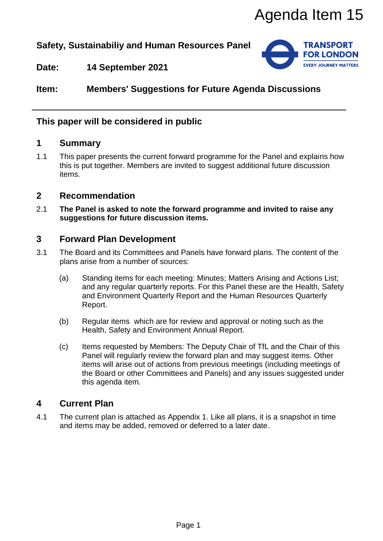# **Safety, Sustainabiliy and Human Resources Panel**



**Date: 14 September 2021**

**Item: Members' Suggestions for Future Agenda Discussions**

## **This paper will be considered in public**

#### **1 Summary**

1.1 This paper presents the current forward programme for the Panel and explains how this is put together. Members are invited to suggest additional future discussion items.

#### **2 Recommendation**

2.1 **The Panel is asked to note the forward programme and invited to raise any suggestions for future discussion items.**

### **3 Forward Plan Development**

- 3.1 The Board and its Committees and Panels have forward plans. The content of the plans arise from a number of sources:
	- (a) Standing items for each meeting: Minutes; Matters Arising and Actions List; and any regular quarterly reports. For this Panel these are the Health, Safety and Environment Quarterly Report and the Human Resources Quarterly Report.
	- (b) Regular items which are for review and approval or noting such as the Health, Safety and Environment Annual Report.
- (c) Items requested by Members: The Deputy Chair of TfL and the Chair of this Panel will regularly review the forward plan and may suggest items. Other items will arise out of actions from previous meetings (including meetings of the Board or other Committees and Panels) and any issues suggested under this agenda item. Agenda Item 15<br>
Resources Panel<br>
TRANSPORT<br>
TOR LONDON<br>
TOR LONDON<br>
TOR LONDON<br>
TOR LONDON<br>
TOR LONDON<br>
TOR LONDON<br>
TOR LONDON<br>
TOR LONDON<br>
TOR LONDON<br>
TOR LONDON<br>
TOR TOR TOR TOR TOR TOR TORAL<br>
TOR TOR TOR TORAL TORAL TOR

### **4 Current Plan**

4.1 The current plan is attached as Appendix 1. Like all plans, it is a snapshot in time and items may be added, removed or deferred to a later date.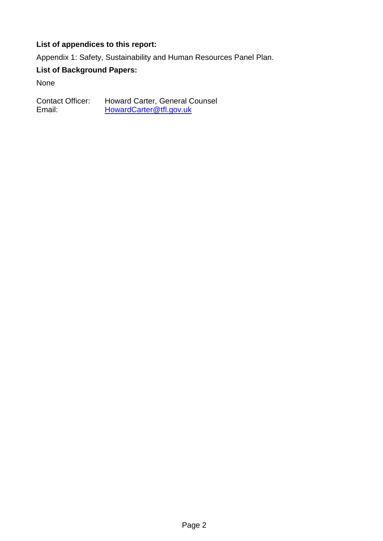#### **List of appendices to this report:**

Appendix 1: Safety, Sustainability and Human Resources Panel Plan.

**List of Background Papers:**

None

Contact Officer: Howard Carter, General Counsel<br>Email: HowardCarter@tfl.gov.uk [HowardCarter@tfl.gov.uk](mailto:HowardCarter@tfl.gov.uk)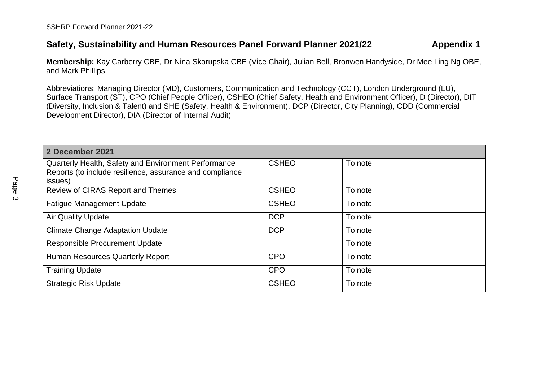# **Safety, Sustainability and Human Resources Panel Forward Planner 2021/22 Appendix 1**

**Membership:** Kay Carberry CBE, Dr Nina Skorupska CBE (Vice Chair), Julian Bell, Bronwen Handyside, Dr Mee Ling Ng OBE, and Mark Phillips.

Abbreviations: Managing Director (MD), Customers, Communication and Technology (CCT), London Underground (LU), Surface Transport (ST), CPO (Chief People Officer), CSHEO (Chief Safety, Health and Environment Officer), D (Director), DIT (Diversity, Inclusion & Talent) and SHE (Safety, Health & Environment), DCP (Director, City Planning), CDD (Commercial Development Director), DIA (Director of Internal Audit)

| 2 December 2021                                          |              |         |  |
|----------------------------------------------------------|--------------|---------|--|
| Quarterly Health, Safety and Environment Performance     | <b>CSHEO</b> | To note |  |
| Reports (to include resilience, assurance and compliance |              |         |  |
| issues)                                                  |              |         |  |
| Review of CIRAS Report and Themes                        | <b>CSHEO</b> | To note |  |
| <b>Fatigue Management Update</b>                         | <b>CSHEO</b> | To note |  |
| <b>Air Quality Update</b>                                | <b>DCP</b>   | To note |  |
| <b>Climate Change Adaptation Update</b>                  | <b>DCP</b>   | To note |  |
| <b>Responsible Procurement Update</b>                    |              | To note |  |
| <b>Human Resources Quarterly Report</b>                  | <b>CPO</b>   | To note |  |
| <b>Training Update</b>                                   | <b>CPO</b>   | To note |  |
| <b>Strategic Risk Update</b>                             | <b>CSHEO</b> | To note |  |